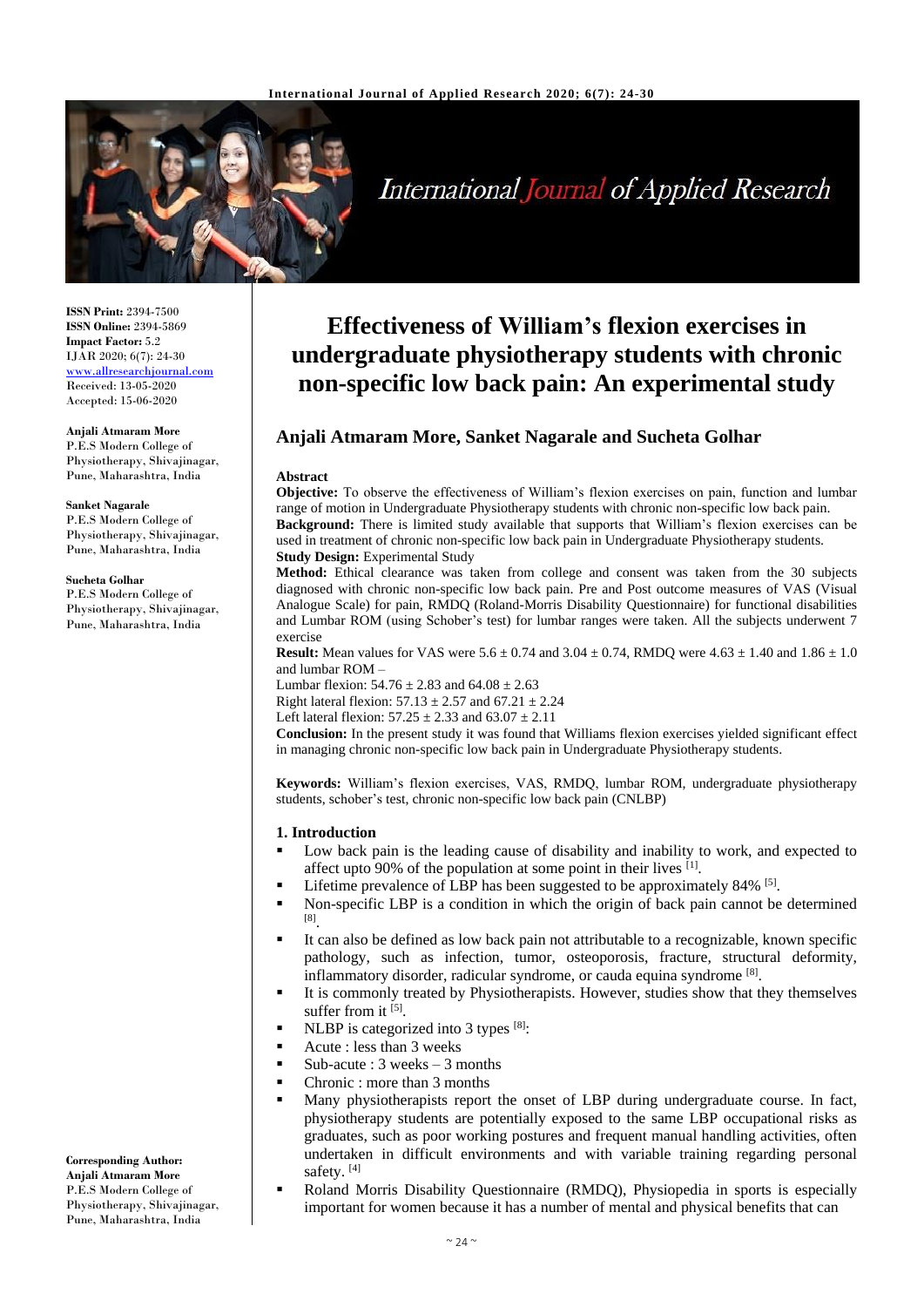

# International Journal of Applied Research

**ISSN Print:** 2394-7500 **ISSN Online:** 2394-5869 **Impact Factor:** 5.2 IJAR 2020; 6(7): 24-30 <www.allresearchjournal.com> Received: 13-05-2020 Accepted: 15-06-2020

**Anjali Atmaram More** P.E.S Modern College of Physiotherapy, Shivajinagar, Pune, Maharashtra, India

#### **Sanket Nagarale**

P.E.S Modern College of Physiotherapy, Shivajinagar, Pune, Maharashtra, India

#### **Sucheta Golhar**

P.E.S Modern College of Physiotherapy, Shivajinagar, Pune, Maharashtra, India

# **Effectiveness of William's flexion exercises in undergraduate physiotherapy students with chronic non-specific low back pain: An experimental study**

# **Anjali Atmaram More, Sanket Nagarale and Sucheta Golhar**

#### **Abstract**

**Objective:** To observe the effectiveness of William's flexion exercises on pain, function and lumbar range of motion in Undergraduate Physiotherapy students with chronic non-specific low back pain. **Background:** There is limited study available that supports that William's flexion exercises can be used in treatment of chronic non-specific low back pain in Undergraduate Physiotherapy students. **Study Design: Experimental Study** 

**Method:** Ethical clearance was taken from college and consent was taken from the 30 subjects diagnosed with chronic non-specific low back pain. Pre and Post outcome measures of VAS (Visual Analogue Scale) for pain, RMDQ (Roland-Morris Disability Questionnaire) for functional disabilities and Lumbar ROM (using Schober's test) for lumbar ranges were taken. All the subjects underwent 7 exercise

**Result:** Mean values for VAS were  $5.6 \pm 0.74$  and  $3.04 \pm 0.74$ , RMDQ were  $4.63 \pm 1.40$  and  $1.86 \pm 1.0$ and lumbar ROM –

Lumbar flexion:  $54.76 \pm 2.83$  and  $64.08 \pm 2.63$ Right lateral flexion:  $57.13 \pm 2.57$  and  $67.21 \pm 2.24$ 

Left lateral flexion:  $57.25 \pm 2.33$  and  $63.07 \pm 2.11$ 

**Conclusion:** In the present study it was found that Williams flexion exercises yielded significant effect in managing chronic non-specific low back pain in Undergraduate Physiotherapy students.

**Keywords:** William's flexion exercises, VAS, RMDQ, lumbar ROM, undergraduate physiotherapy students, schober's test, chronic non-specific low back pain (CNLBP)

#### **1. Introduction**

- Low back pain is the leading cause of disability and inability to work, and expected to affect upto 90% of the population at some point in their lives [1].
- $\blacksquare$  Lifetime prevalence of LBP has been suggested to be approximately 84% [5].
- Non-specific LBP is a condition in which the origin of back pain cannot be determined [8] .
- It can also be defined as low back pain not attributable to a recognizable, known specific pathology, such as infection, tumor, osteoporosis, fracture, structural deformity, inflammatory disorder, radicular syndrome, or cauda equina syndrome <a>[8]</a>.
- It is commonly treated by Physiotherapists. However, studies show that they themselves suffer from it [5].
- NLBP is categorized into 3 types [8]:
- Acute : less than 3 weeks
- Sub-acute : 3 weeks 3 months
- Chronic : more than 3 months
- Many physiotherapists report the onset of LBP during undergraduate course. In fact, physiotherapy students are potentially exposed to the same LBP occupational risks as graduates, such as poor working postures and frequent manual handling activities, often undertaken in difficult environments and with variable training regarding personal safety.<sup>[4]</sup>
- Roland Morris Disability Questionnaire (RMDQ), Physiopedia in sports is especially important for women because it has a number of mental and physical benefits that can

**Corresponding Author: Anjali Atmaram More** P.E.S Modern College of Physiotherapy, Shivajinagar, Pune, Maharashtra, India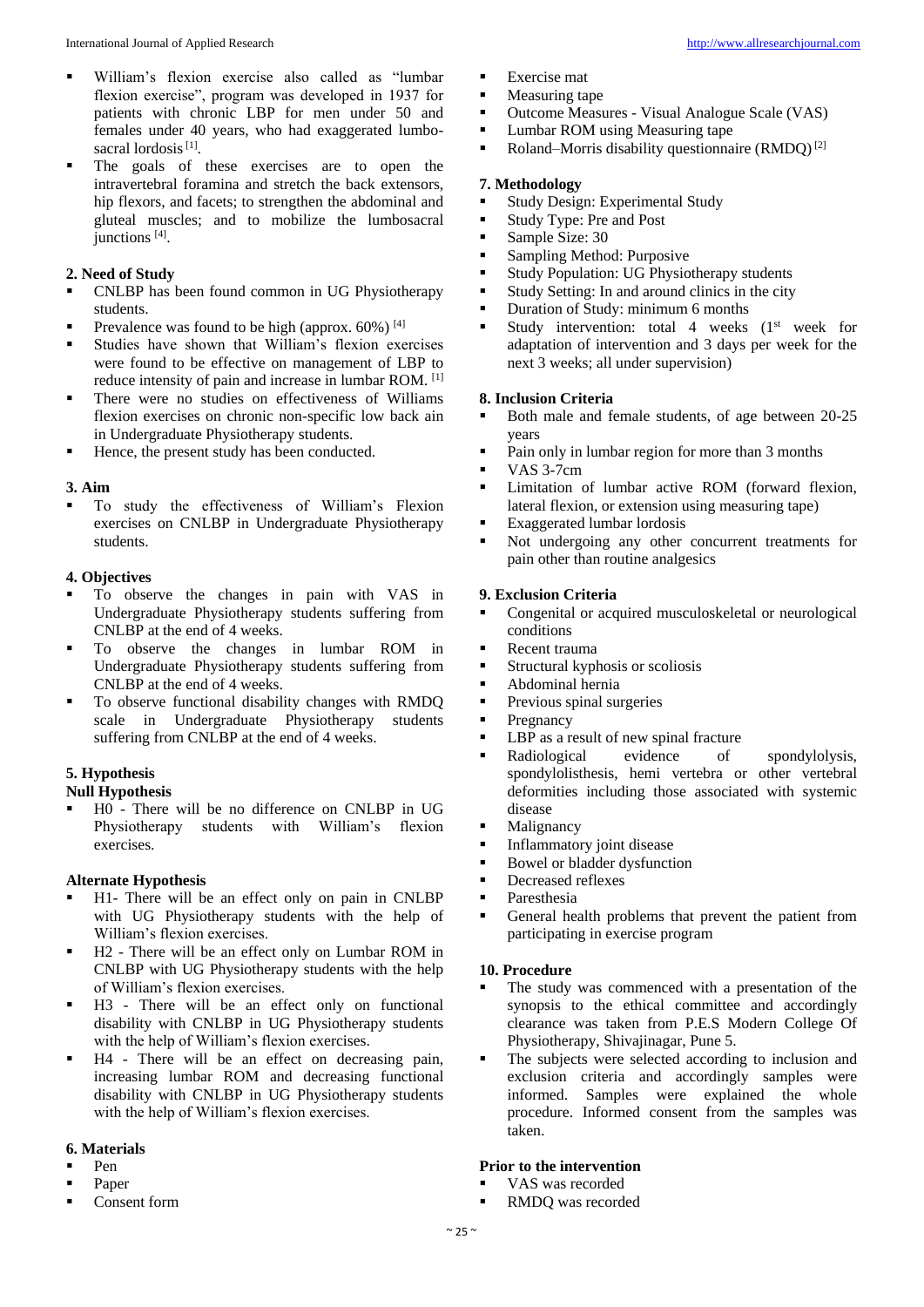- William's flexion exercise also called as "lumbar flexion exercise", program was developed in 1937 for patients with chronic LBP for men under 50 and females under 40 years, who had exaggerated lumbosacral lordosis<sup>[1]</sup>.
- The goals of these exercises are to open the intravertebral foramina and stretch the back extensors, hip flexors, and facets; to strengthen the abdominal and gluteal muscles; and to mobilize the lumbosacral junctions [4].

# **2. Need of Study**

- CNLBP has been found common in UG Physiotherapy students.
- **Prevalence was found to be high (approx. 60%)**  $[4]$
- Studies have shown that William's flexion exercises were found to be effective on management of LBP to reduce intensity of pain and increase in lumbar ROM. [1]
- **There were no studies on effectiveness of Williams** flexion exercises on chronic non-specific low back ain in Undergraduate Physiotherapy students.
- Hence, the present study has been conducted.

# **3. Aim**

 To study the effectiveness of William's Flexion exercises on CNLBP in Undergraduate Physiotherapy students.

#### **4. Objectives**

- To observe the changes in pain with VAS in Undergraduate Physiotherapy students suffering from CNLBP at the end of 4 weeks.
- To observe the changes in lumbar ROM in Undergraduate Physiotherapy students suffering from CNLBP at the end of 4 weeks.
- To observe functional disability changes with RMDQ scale in Undergraduate Physiotherapy students suffering from CNLBP at the end of 4 weeks.

# **5. Hypothesis**

### **Null Hypothesis**

 H0 - There will be no difference on CNLBP in UG Physiotherapy students with William's flexion exercises.

# **Alternate Hypothesis**

- H1- There will be an effect only on pain in CNLBP with UG Physiotherapy students with the help of William's flexion exercises.
- H2 There will be an effect only on Lumbar ROM in CNLBP with UG Physiotherapy students with the help of William's flexion exercises.
- H3 There will be an effect only on functional disability with CNLBP in UG Physiotherapy students with the help of William's flexion exercises.
- H4 There will be an effect on decreasing pain, increasing lumbar ROM and decreasing functional disability with CNLBP in UG Physiotherapy students with the help of William's flexion exercises.

# **6. Materials**

- Pen
- Paper
- Consent form
- **Exercise mat**
- Measuring tape
- Outcome Measures Visual Analogue Scale (VAS)
- **Lumbar ROM** using Measuring tape
- Roland–Morris disability questionnaire (RMDQ)<sup>[2]</sup>

# **7. Methodology**

- **Study Design: Experimental Study**
- Study Type: Pre and Post
- Sample Size: 30
- **Sampling Method: Purposive**
- **Study Population: UG Physiotherapy students**
- Study Setting: In and around clinics in the city
- **Duration of Study: minimum 6 months**
- Study intervention: total 4 weeks  $(1<sup>st</sup>$  week for adaptation of intervention and 3 days per week for the next 3 weeks; all under supervision)

# **8. Inclusion Criteria**

- Both male and female students, of age between 20-25 years
- Pain only in lumbar region for more than 3 months
- VAS 3-7cm
- **EXECUTE:** Limitation of lumbar active ROM (forward flexion, lateral flexion, or extension using measuring tape)
- **Exaggerated lumbar lordosis**
- Not undergoing any other concurrent treatments for pain other than routine analgesics

#### **9. Exclusion Criteria**

- Congenital or acquired musculoskeletal or neurological conditions
- **Recent trauma**
- **Structural kyphosis or scoliosis**
- Abdominal hernia
- **Previous spinal surgeries**
- $\blacksquare$  Pregnancy
- **LBP** as a result of new spinal fracture
- Radiological evidence of spondylolysis, spondylolisthesis, hemi vertebra or other vertebral deformities including those associated with systemic disease
- Malignancy
- **Inflammatory joint disease**
- **Bowel or bladder dysfunction**
- Decreased reflexes
- **Paresthesia**
- General health problems that prevent the patient from participating in exercise program

#### **10. Procedure**

- The study was commenced with a presentation of the synopsis to the ethical committee and accordingly clearance was taken from P.E.S Modern College Of Physiotherapy, Shivajinagar, Pune 5.
- The subjects were selected according to inclusion and exclusion criteria and accordingly samples were informed. Samples were explained the whole procedure. Informed consent from the samples was taken.

# **Prior to the intervention**

- VAS was recorded
- RMDQ was recorded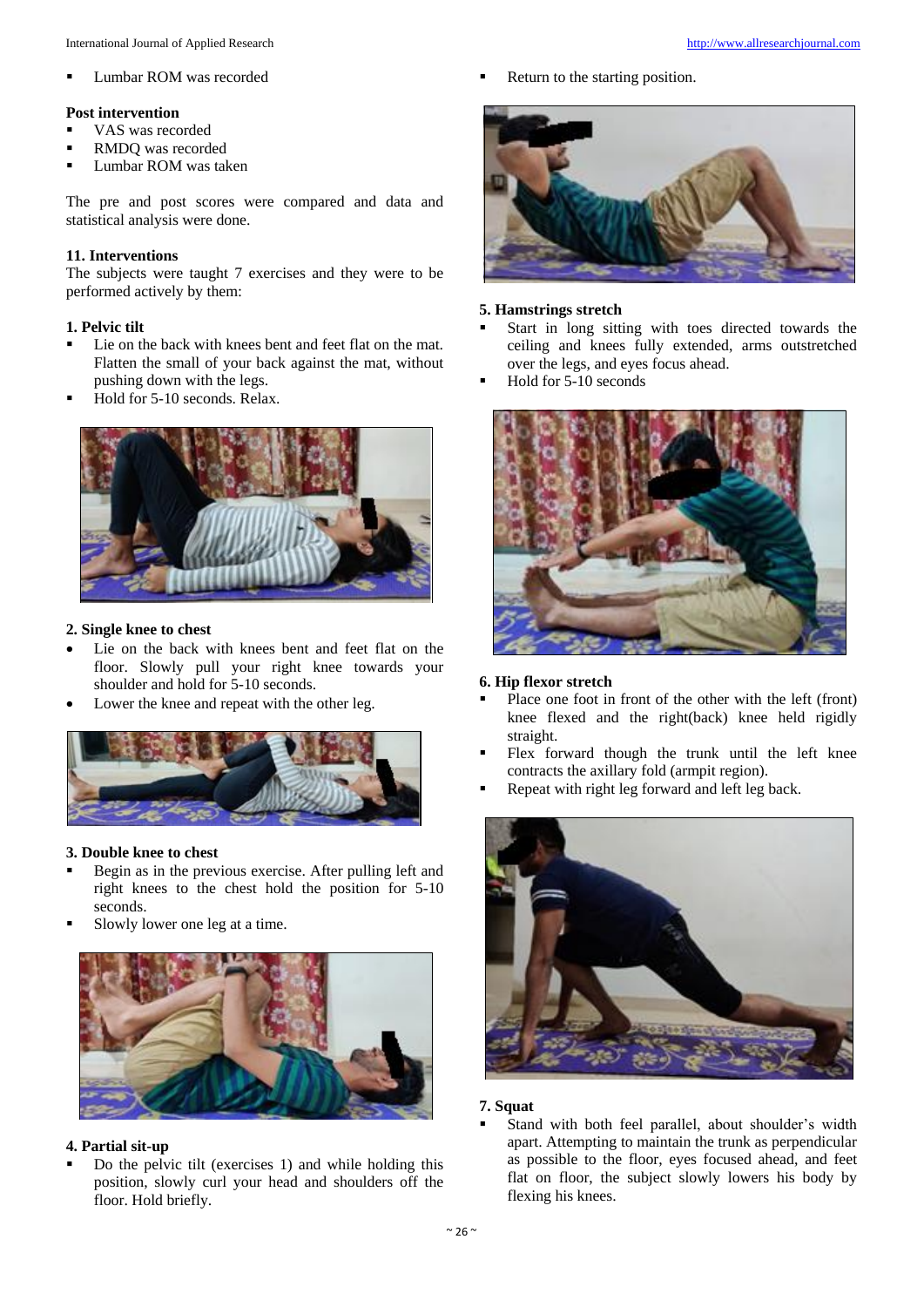Lumbar ROM was recorded

#### **Post intervention**

- VAS was recorded
- RMDQ was recorded
- Lumbar ROM was taken

The pre and post scores were compared and data and statistical analysis were done.

#### **11. Interventions**

The subjects were taught 7 exercises and they were to be performed actively by them:

### **1. Pelvic tilt**

- Lie on the back with knees bent and feet flat on the mat. Flatten the small of your back against the mat, without pushing down with the legs.
- Hold for 5-10 seconds. Relax.



#### **2. Single knee to chest**

- Lie on the back with knees bent and feet flat on the floor. Slowly pull your right knee towards your shoulder and hold for 5-10 seconds.
- Lower the knee and repeat with the other leg.



#### **3. Double knee to chest**

- Begin as in the previous exercise. After pulling left and right knees to the chest hold the position for 5-10 seconds.
- Slowly lower one leg at a time.



#### **4. Partial sit-up**

 Do the pelvic tilt (exercises 1) and while holding this position, slowly curl your head and shoulders off the floor. Hold briefly.

Return to the starting position.



#### **5. Hamstrings stretch**

- Start in long sitting with toes directed towards the ceiling and knees fully extended, arms outstretched over the legs, and eyes focus ahead.
- Hold for 5-10 seconds



#### **6. Hip flexor stretch**

- Place one foot in front of the other with the left (front) knee flexed and the right(back) knee held rigidly straight.
- Flex forward though the trunk until the left knee contracts the axillary fold (armpit region).
- Repeat with right leg forward and left leg back.



#### **7. Squat**

 Stand with both feel parallel, about shoulder's width apart. Attempting to maintain the trunk as perpendicular as possible to the floor, eyes focused ahead, and feet flat on floor, the subject slowly lowers his body by flexing his knees.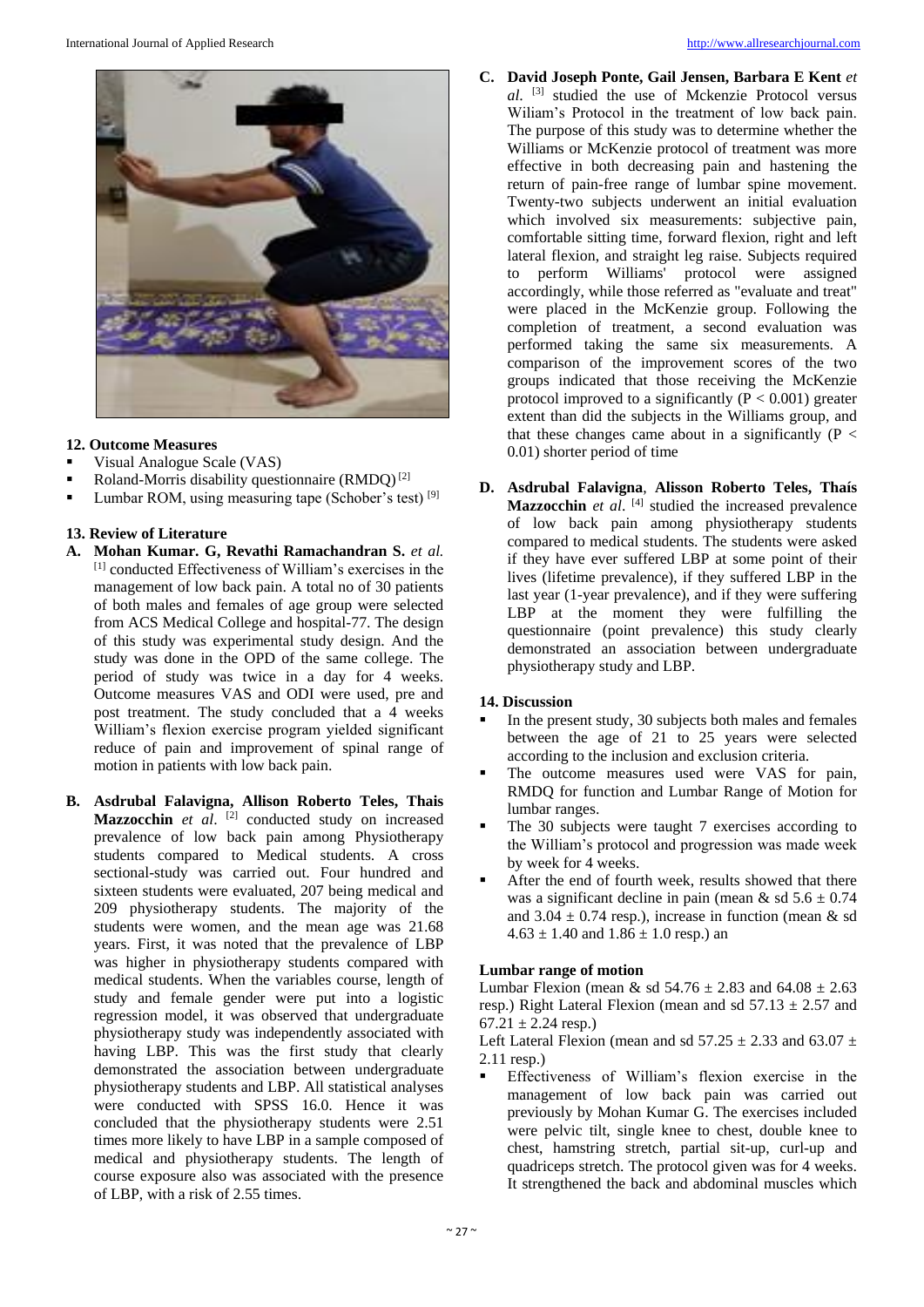

# **12. Outcome Measures**

- Visual Analogue Scale (VAS)
- Roland-Morris disability questionnaire (RMDQ)<sup>[2]</sup>
- Lumbar ROM, using measuring tape (Schober's test) [9]

# **13. Review of Literature**

- **A. Mohan Kumar. G, Revathi Ramachandran S.** *et al.* [1] conducted Effectiveness of William's exercises in the management of low back pain. A total no of 30 patients of both males and females of age group were selected from ACS Medical College and hospital-77. The design of this study was experimental study design. And the study was done in the OPD of the same college. The period of study was twice in a day for 4 weeks. Outcome measures VAS and ODI were used, pre and post treatment. The study concluded that a 4 weeks William's flexion exercise program yielded significant reduce of pain and improvement of spinal range of motion in patients with low back pain.
- **B. Asdrubal Falavigna, Allison Roberto Teles, Thais Mazzocchin** *et al*. [2] conducted study on increased prevalence of low back pain among Physiotherapy students compared to Medical students. A cross sectional-study was carried out. Four hundred and sixteen students were evaluated, 207 being medical and 209 physiotherapy students. The majority of the students were women, and the mean age was 21.68 years. First, it was noted that the prevalence of LBP was higher in physiotherapy students compared with medical students. When the variables course, length of study and female gender were put into a logistic regression model, it was observed that undergraduate physiotherapy study was independently associated with having LBP. This was the first study that clearly demonstrated the association between undergraduate physiotherapy students and LBP. All statistical analyses were conducted with SPSS 16.0. Hence it was concluded that the physiotherapy students were 2.51 times more likely to have LBP in a sample composed of medical and physiotherapy students. The length of course exposure also was associated with the presence of LBP, with a risk of 2.55 times.
- **C. David Joseph Ponte, Gail Jensen, Barbara E Kent** *et al*. [3] studied the use of Mckenzie Protocol versus Wiliam's Protocol in the treatment of low back pain. The purpose of this study was to determine whether the Williams or McKenzie protocol of treatment was more effective in both decreasing pain and hastening the return of pain-free range of lumbar spine movement. Twenty-two subjects underwent an initial evaluation which involved six measurements: subjective pain, comfortable sitting time, forward flexion, right and left lateral flexion, and straight leg raise. Subjects required to perform Williams' protocol were assigned accordingly, while those referred as "evaluate and treat" were placed in the McKenzie group. Following the completion of treatment, a second evaluation was performed taking the same six measurements. A comparison of the improvement scores of the two groups indicated that those receiving the McKenzie protocol improved to a significantly  $(P < 0.001)$  greater extent than did the subjects in the Williams group, and that these changes came about in a significantly  $(P <$ 0.01) shorter period of time
- **D. Asdrubal Falavigna**, **Alisson Roberto Teles, Thaís Mazzocchin** *et al*. [4] studied the increased prevalence of low back pain among physiotherapy students compared to medical students. The students were asked if they have ever suffered LBP at some point of their lives (lifetime prevalence), if they suffered LBP in the last year (1-year prevalence), and if they were suffering LBP at the moment they were fulfilling the questionnaire (point prevalence) this study clearly demonstrated an association between undergraduate physiotherapy study and LBP.

# **14. Discussion**

- In the present study, 30 subjects both males and females between the age of 21 to 25 years were selected according to the inclusion and exclusion criteria.
- The outcome measures used were VAS for pain, RMDQ for function and Lumbar Range of Motion for lumbar ranges.
- The 30 subjects were taught 7 exercises according to the William's protocol and progression was made week by week for 4 weeks.
- After the end of fourth week, results showed that there was a significant decline in pain (mean & sd  $5.6 \pm 0.74$ ) and  $3.04 \pm 0.74$  resp.), increase in function (mean & sd  $4.63 \pm 1.40$  and  $1.86 \pm 1.0$  resp.) an

# **Lumbar range of motion**

Lumbar Flexion (mean & sd  $54.76 \pm 2.83$  and  $64.08 \pm 2.63$ resp.) Right Lateral Flexion (mean and sd  $57.13 \pm 2.57$  and  $67.21 \pm 2.24$  resp.)

Left Lateral Flexion (mean and sd  $57.25 \pm 2.33$  and  $63.07 \pm 1.5$ 2.11 resp.)

 Effectiveness of William's flexion exercise in the management of low back pain was carried out previously by Mohan Kumar G. The exercises included were pelvic tilt, single knee to chest, double knee to chest, hamstring stretch, partial sit-up, curl-up and quadriceps stretch. The protocol given was for 4 weeks. It strengthened the back and abdominal muscles which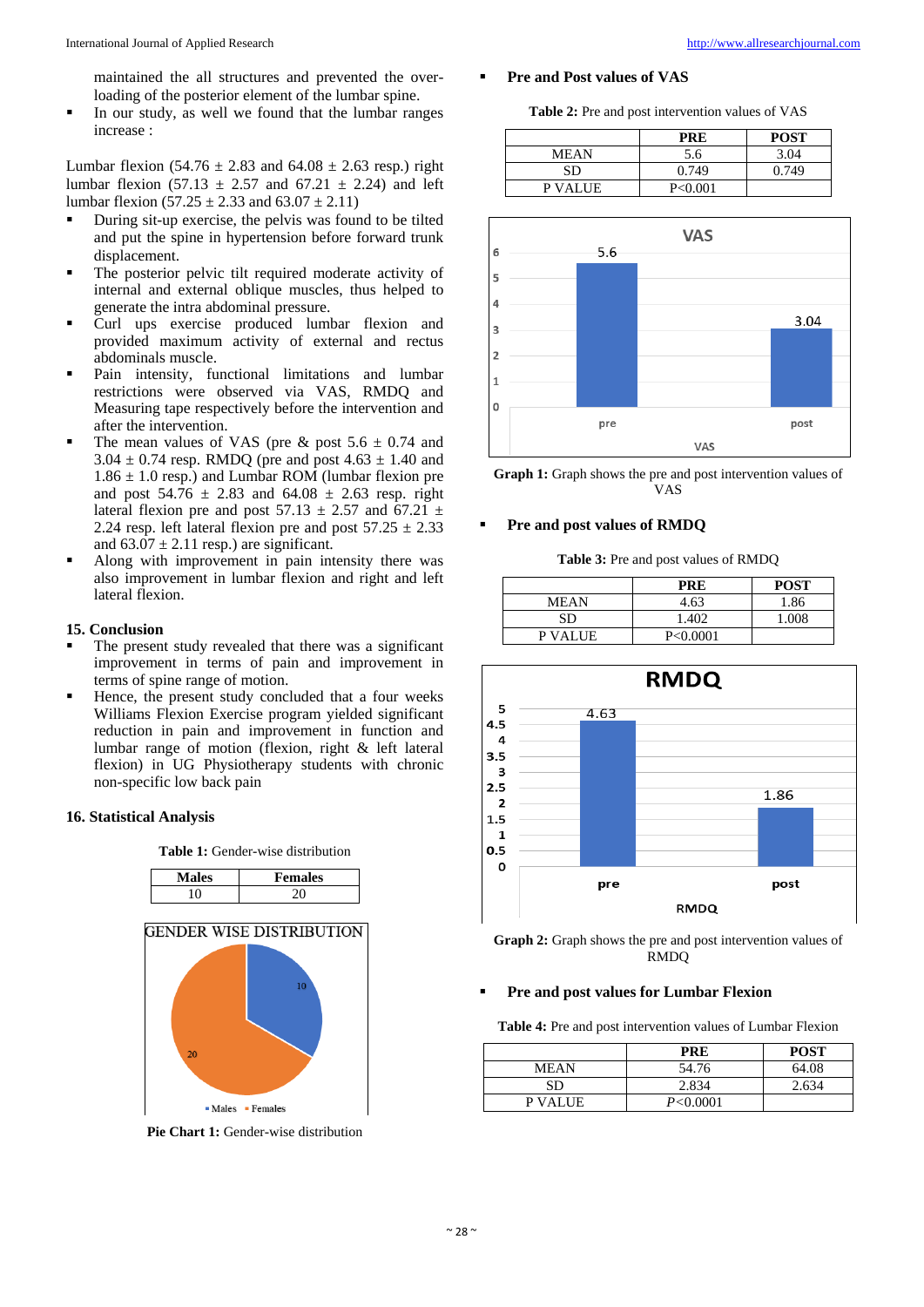maintained the all structures and prevented the overloading of the posterior element of the lumbar spine.

In our study, as well we found that the lumbar ranges increase :

Lumbar flexion  $(54.76 \pm 2.83)$  and  $64.08 \pm 2.63$  resp.) right lumbar flexion  $(57.13 \pm 2.57)$  and  $(67.21 \pm 2.24)$  and left lumbar flexion  $(57.25 \pm 2.33 \text{ and } 63.07 \pm 2.11)$ 

- During sit-up exercise, the pelvis was found to be tilted and put the spine in hypertension before forward trunk displacement.
- The posterior pelvic tilt required moderate activity of internal and external oblique muscles, thus helped to generate the intra abdominal pressure.
- Curl ups exercise produced lumbar flexion and provided maximum activity of external and rectus abdominals muscle.
- Pain intensity, functional limitations and lumbar restrictions were observed via VAS, RMDQ and Measuring tape respectively before the intervention and after the intervention.
- The mean values of VAS (pre  $\&$  post 5.6  $\pm$  0.74 and  $3.04 \pm 0.74$  resp. RMDQ (pre and post  $4.63 \pm 1.40$  and  $1.86 \pm 1.0$  resp.) and Lumbar ROM (lumbar flexion pre and post  $54.76 \pm 2.83$  and  $64.08 \pm 2.63$  resp. right lateral flexion pre and post  $57.13 \pm 2.57$  and  $67.21 \pm$ 2.24 resp. left lateral flexion pre and post  $57.25 \pm 2.33$ and  $63.07 \pm 2.11$  resp.) are significant.
- Along with improvement in pain intensity there was also improvement in lumbar flexion and right and left lateral flexion.

#### **15. Conclusion**

- The present study revealed that there was a significant improvement in terms of pain and improvement in terms of spine range of motion.
- Hence, the present study concluded that a four weeks Williams Flexion Exercise program yielded significant reduction in pain and improvement in function and lumbar range of motion (flexion, right & left lateral flexion) in UG Physiotherapy students with chronic non-specific low back pain

#### **16. Statistical Analysis**



**Pie Chart 1:** Gender-wise distribution

# **Pre and Post values of VAS**

**Table 2:** Pre and post intervention values of VAS

|         | <b>PRE</b> | <b>POST</b> |
|---------|------------|-------------|
| MEAN    | 5.6        | 3.04        |
| SD      | 0.749      | 0.749       |
| P VALUE | P < 0.001  |             |



**Graph 1:** Graph shows the pre and post intervention values of VAS

#### **Pre and post values of RMDQ**

**Table 3:** Pre and post values of RMDQ

|         | <b>PRE</b> | <b>POST</b> |
|---------|------------|-------------|
| MEAN    | 4.63       | 1.86        |
| SD      | 1.402      | .008        |
| P VALUE | P<0.0001   |             |





#### **Pre and post values for Lumbar Flexion**

**Table 4:** Pre and post intervention values of Lumbar Flexion

|             | PRE       | <b>POST</b> |
|-------------|-----------|-------------|
| <b>MEAN</b> | 54.76     | 64.08       |
| SD          | 2.834     | 2.634       |
| P VALUE     | P< 0.0001 |             |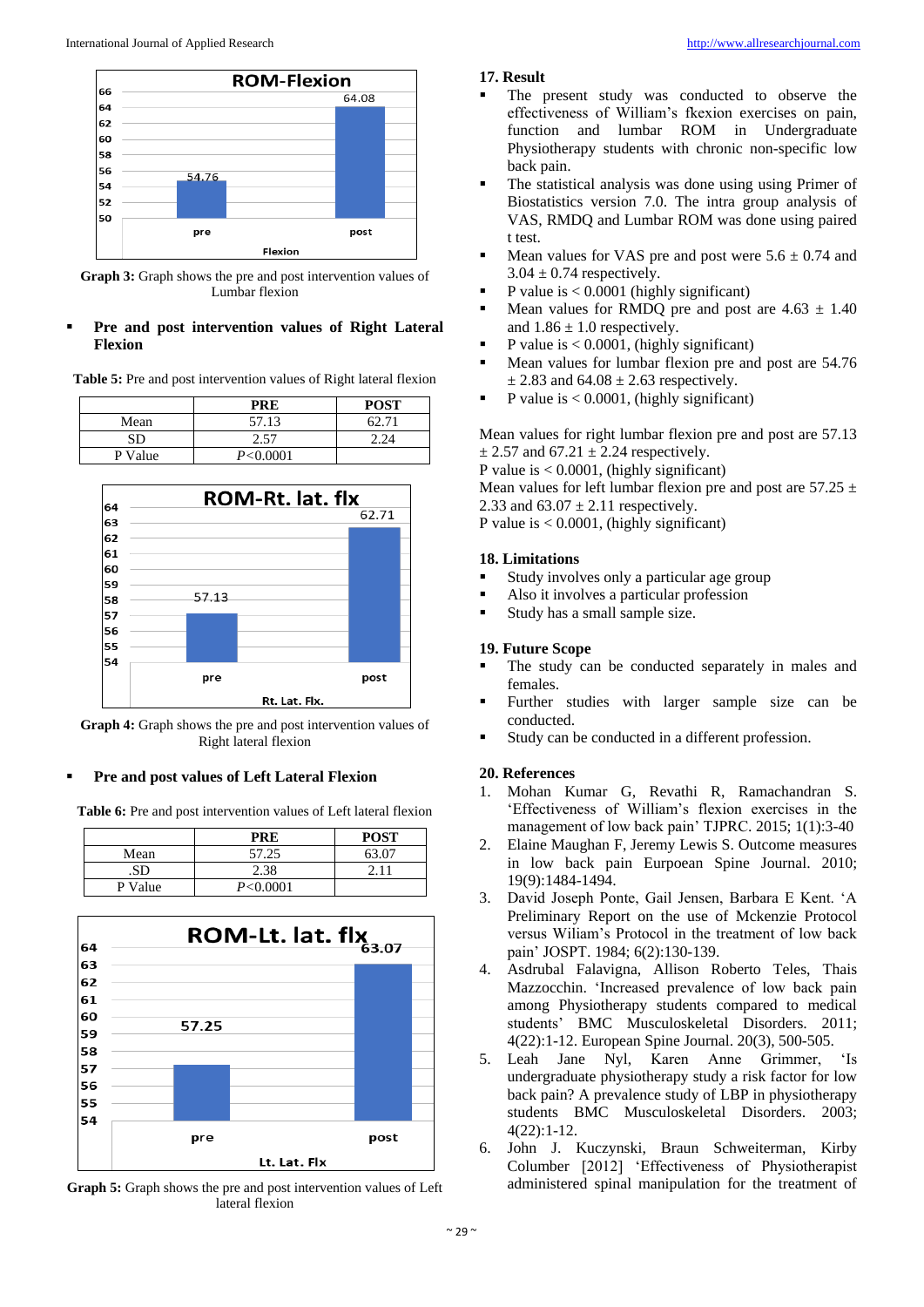

**Graph 3:** Graph shows the pre and post intervention values of Lumbar flexion

# **Pre and post intervention values of Right Lateral Flexion**

**Table 5:** Pre and post intervention values of Right lateral flexion

|         | PRE       | <b>POST</b> |
|---------|-----------|-------------|
| Mean    | 57.13     | 62.71       |
| SD      | 2.57      |             |
| P Value | P< 0.0001 |             |



**Graph 4:** Graph shows the pre and post intervention values of Right lateral flexion

#### **Pre and post values of Left Lateral Flexion**

**Table 6:** Pre and post intervention values of Left lateral flexion

|           | PRE        | <b>POST</b> |
|-----------|------------|-------------|
| Mean      | 57.25      | 63 በ7       |
| $S\Gamma$ | 2.38       |             |
| P Value   | P < 0.0001 |             |



**Graph 5:** Graph shows the pre and post intervention values of Left lateral flexion

#### **17. Result**

- The present study was conducted to observe the effectiveness of William's fkexion exercises on pain, function and lumbar ROM in Undergraduate Physiotherapy students with chronic non-specific low back pain.
- The statistical analysis was done using using Primer of Biostatistics version 7.0. The intra group analysis of VAS, RMDQ and Lumbar ROM was done using paired t test.
- Mean values for VAS pre and post were  $5.6 \pm 0.74$  and  $3.04 \pm 0.74$  respectively.
- P value is < 0.0001 (highly significant)
- Mean values for RMDQ pre and post are  $4.63 \pm 1.40$ and  $1.86 \pm 1.0$  respectively.
- P value is  $< 0.0001$ , (highly significant)
- Mean values for lumbar flexion pre and post are 54.76  $\pm$  2.83 and 64.08  $\pm$  2.63 respectively.
- P value is  $< 0.0001$ , (highly significant)

Mean values for right lumbar flexion pre and post are 57.13  $\pm$  2.57 and 67.21  $\pm$  2.24 respectively.

P value is  $< 0.0001$ , (highly significant)

Mean values for left lumbar flexion pre and post are  $57.25 \pm$ 2.33 and  $63.07 \pm 2.11$  respectively.

P value is < 0.0001, (highly significant)

# **18. Limitations**

- Study involves only a particular age group
- Also it involves a particular profession
- Study has a small sample size.

# **19. Future Scope**

- The study can be conducted separately in males and females.
- Further studies with larger sample size can be conducted.
- Study can be conducted in a different profession.

# **20. References**

- 1. Mohan Kumar G, Revathi R, Ramachandran S. 'Effectiveness of William's flexion exercises in the management of low back pain' TJPRC. 2015; 1(1):3-40
- 2. Elaine Maughan F, Jeremy Lewis S. Outcome measures in low back pain Eurpoean Spine Journal. 2010; 19(9):1484-1494.
- 3. David Joseph Ponte, Gail Jensen, Barbara E Kent. 'A Preliminary Report on the use of Mckenzie Protocol versus Wiliam's Protocol in the treatment of low back pain' JOSPT. 1984; 6(2):130-139.
- 4. Asdrubal Falavigna, Allison Roberto Teles, Thais Mazzocchin. 'Increased prevalence of low back pain among Physiotherapy students compared to medical students' BMC Musculoskeletal Disorders. 2011; 4(22):1-12. European Spine Journal. 20(3), 500-505.
- 5. Leah Jane Nyl, Karen Anne Grimmer, 'Is undergraduate physiotherapy study a risk factor for low back pain? A prevalence study of LBP in physiotherapy students BMC Musculoskeletal Disorders. 2003; 4(22):1-12.
- 6. John J. Kuczynski, Braun Schweiterman, Kirby Columber [2012] 'Effectiveness of Physiotherapist administered spinal manipulation for the treatment of